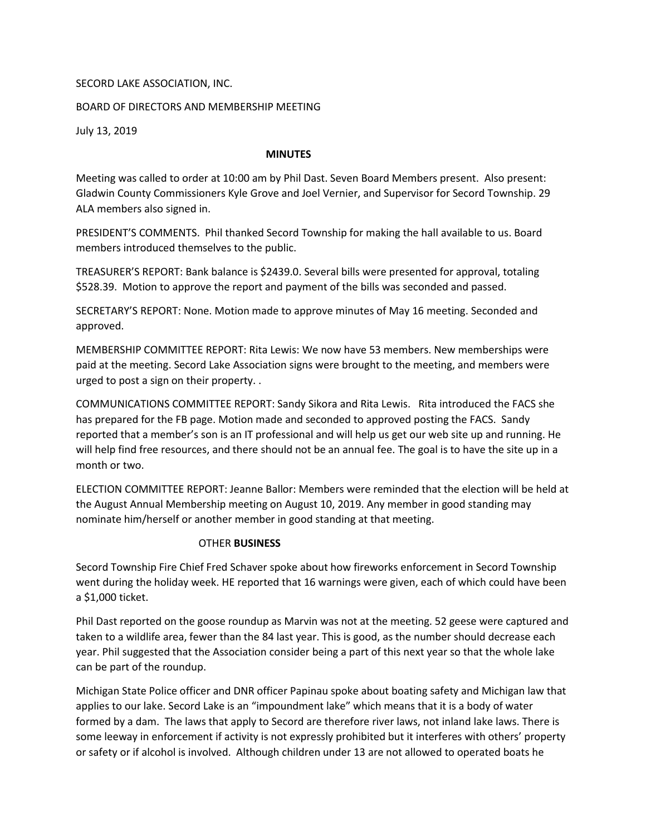## SECORD LAKE ASSOCIATION, INC.

## BOARD OF DIRECTORS AND MEMBERSHIP MEETING

July 13, 2019

## MINUTES

Meeting was called to order at 10:00 am by Phil Dast. Seven Board Members present. Also present: Gladwin County Commissioners Kyle Grove and Joel Vernier, and Supervisor for Secord Township. 29 ALA members also signed in.

PRESIDENT'S COMMENTS. Phil thanked Secord Township for making the hall available to us. Board members introduced themselves to the public.

TREASURER'S REPORT: Bank balance is \$2439.0. Several bills were presented for approval, totaling \$528.39. Motion to approve the report and payment of the bills was seconded and passed.

SECRETARY'S REPORT: None. Motion made to approve minutes of May 16 meeting. Seconded and approved.

MEMBERSHIP COMMITTEE REPORT: Rita Lewis: We now have 53 members. New memberships were paid at the meeting. Secord Lake Association signs were brought to the meeting, and members were urged to post a sign on their property. .

COMMUNICATIONS COMMITTEE REPORT: Sandy Sikora and Rita Lewis. Rita introduced the FACS she has prepared for the FB page. Motion made and seconded to approved posting the FACS. Sandy reported that a member's son is an IT professional and will help us get our web site up and running. He will help find free resources, and there should not be an annual fee. The goal is to have the site up in a month or two.

ELECTION COMMITTEE REPORT: Jeanne Ballor: Members were reminded that the election will be held at the August Annual Membership meeting on August 10, 2019. Any member in good standing may nominate him/herself or another member in good standing at that meeting.

## OTHER BUSINESS

Secord Township Fire Chief Fred Schaver spoke about how fireworks enforcement in Secord Township went during the holiday week. HE reported that 16 warnings were given, each of which could have been a \$1,000 ticket.

Phil Dast reported on the goose roundup as Marvin was not at the meeting. 52 geese were captured and taken to a wildlife area, fewer than the 84 last year. This is good, as the number should decrease each year. Phil suggested that the Association consider being a part of this next year so that the whole lake can be part of the roundup.

Michigan State Police officer and DNR officer Papinau spoke about boating safety and Michigan law that applies to our lake. Secord Lake is an "impoundment lake" which means that it is a body of water formed by a dam. The laws that apply to Secord are therefore river laws, not inland lake laws. There is some leeway in enforcement if activity is not expressly prohibited but it interferes with others' property or safety or if alcohol is involved. Although children under 13 are not allowed to operated boats he